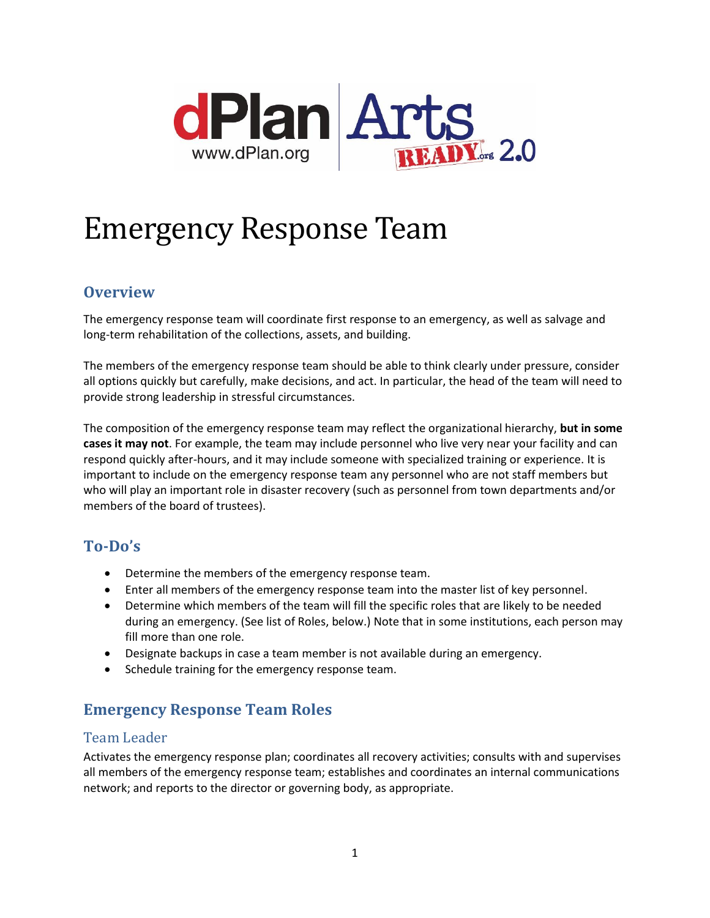

# Emergency Response Team

# **Overview**

The emergency response team will coordinate first response to an emergency, as well as salvage and long-term rehabilitation of the collections, assets, and building.

The members of the emergency response team should be able to think clearly under pressure, consider all options quickly but carefully, make decisions, and act. In particular, the head of the team will need to provide strong leadership in stressful circumstances.

The composition of the emergency response team may reflect the organizational hierarchy, **but in some cases it may not**. For example, the team may include personnel who live very near your facility and can respond quickly after-hours, and it may include someone with specialized training or experience. It is important to include on the emergency response team any personnel who are not staff members but who will play an important role in disaster recovery (such as personnel from town departments and/or members of the board of trustees).

# **To-Do's**

- Determine the members of the emergency response team.
- Enter all members of the emergency response team into the master list of key personnel.
- Determine which members of the team will fill the specific roles that are likely to be needed during an emergency. (See list of Roles, below.) Note that in some institutions, each person may fill more than one role.
- Designate backups in case a team member is not available during an emergency.
- Schedule training for the emergency response team.

# **Emergency Response Team Roles**

#### Team Leader

Activates the emergency response plan; coordinates all recovery activities; consults with and supervises all members of the emergency response team; establishes and coordinates an internal communications network; and reports to the director or governing body, as appropriate.